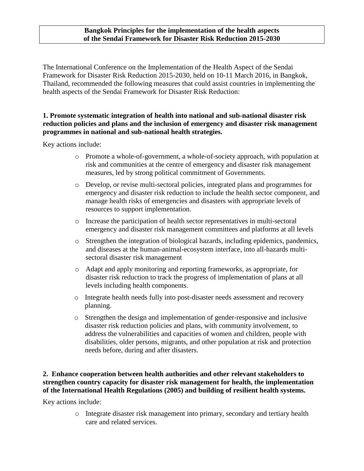#### **Bangkok Principles for the implementation of the health aspects of the Sendai Framework for Disaster Risk Reduction 2015-2030**

The International Conference on the Implementation of the Health Aspect of the Sendai Framework for Disaster Risk Reduction 2015-2030, held on 10-11 March 2016, in Bangkok, Thailand, recommended the following measures that could assist countries in implementing the health aspects of the Sendai Framework for Disaster Risk Reduction:

### **1. Promote systematic integration of health into national and sub-national disaster risk reduction policies and plans and the inclusion of emergency and disaster risk management programmes in national and sub-national health strategies.**

Key actions include:

- o Promote a whole-of-government, a whole-of-society approach, with population at risk and communities at the centre of emergency and disaster risk management measures, led by strong political commitment of Governments.
- o Develop, or revise multi-sectoral policies, integrated plans and programmes for emergency and disaster risk reduction to include the health sector component, and manage health risks of emergencies and disasters with appropriate levels of resources to support implementation.
- o Increase the participation of health sector representatives in multi-sectoral emergency and disaster risk management committees and platforms at all levels
- o Strengthen the integration of biological hazards, including epidemics, pandemics, and diseases at the human-animal-ecosystem interface, into all-hazards multisectoral disaster risk management
- o Adapt and apply monitoring and reporting frameworks, as appropriate, for disaster risk reduction to track the progress of implementation of plans at all levels including health components.
- o Integrate health needs fully into post-disaster needs assessment and recovery planning.
- o Strengthen the design and implementation of gender-responsive and inclusive disaster risk reduction policies and plans, with community involvement, to address the vulnerabilities and capacities of women and children, people with disabilities, older persons, migrants, and other population at risk and protection needs before, during and after disasters.

# **2. Enhance cooperation between health authorities and other relevant stakeholders to strengthen country capacity for disaster risk management for health, the implementation of the International Health Regulations (2005) and building of resilient health systems.**

Key actions include:

o Integrate disaster risk management into primary, secondary and tertiary health care and related services.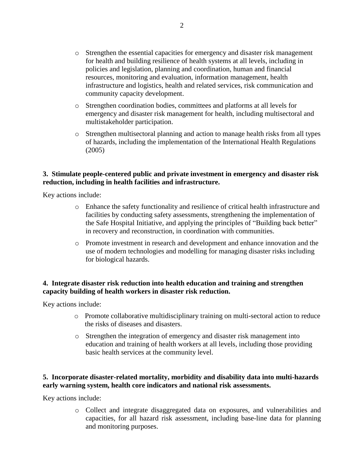- o Strengthen the essential capacities for emergency and disaster risk management for health and building resilience of health systems at all levels, including in policies and legislation, planning and coordination, human and financial resources, monitoring and evaluation, information management, health infrastructure and logistics, health and related services, risk communication and community capacity development.
- o Strengthen coordination bodies, committees and platforms at all levels for emergency and disaster risk management for health, including multisectoral and multistakeholder participation.
- o Strengthen multisectoral planning and action to manage health risks from all types of hazards, including the implementation of the International Health Regulations (2005)

#### **3. Stimulate people-centered public and private investment in emergency and disaster risk reduction, including in health facilities and infrastructure.**

Key actions include:

- o Enhance the safety functionality and resilience of critical health infrastructure and facilities by conducting safety assessments, strengthening the implementation of the Safe Hospital Initiative, and applying the principles of "Building back better" in recovery and reconstruction, in coordination with communities.
- o Promote investment in research and development and enhance innovation and the use of modern technologies and modelling for managing disaster risks including for biological hazards.

#### **4. Integrate disaster risk reduction into health education and training and strengthen capacity building of health workers in disaster risk reduction.**

Key actions include:

- o Promote collaborative multidisciplinary training on multi-sectoral action to reduce the risks of diseases and disasters.
- o Strengthen the integration of emergency and disaster risk management into education and training of health workers at all levels, including those providing basic health services at the community level.

### **5. Incorporate disaster-related mortality, morbidity and disability data into multi-hazards early warning system, health core indicators and national risk assessments.**

Key actions include:

o Collect and integrate disaggregated data on exposures, and vulnerabilities and capacities, for all hazard risk assessment, including base-line data for planning and monitoring purposes.